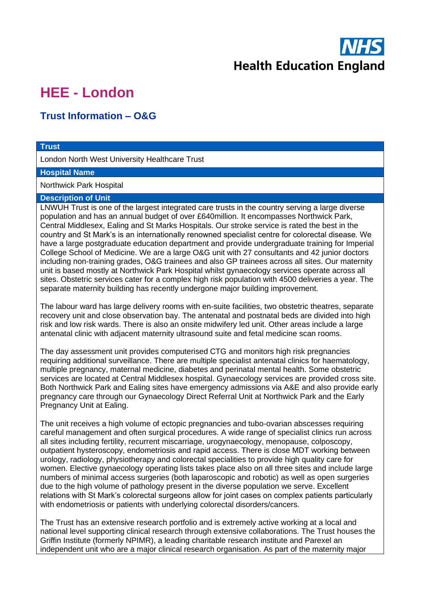# **Health Education England**

## **HEE - London**

### **Trust Information – O&G**

#### **Trust**

London North West University Healthcare Trust

#### **Hospital Name**

Northwick Park Hospital

#### **Description of Unit**

LNWUH Trust is one of the largest integrated care trusts in the country serving a large diverse population and has an annual budget of over £640million. It encompasses Northwick Park, Central Middlesex, Ealing and St Marks Hospitals. Our stroke service is rated the best in the country and St Mark's is an internationally renowned specialist centre for colorectal disease. We have a large postgraduate education department and provide undergraduate training for Imperial College School of Medicine. We are a large O&G unit with 27 consultants and 42 junior doctors including non-training grades, O&G trainees and also GP trainees across all sites. Our maternity unit is based mostly at Northwick Park Hospital whilst gynaecology services operate across all sites. Obstetric services cater for a complex high risk population with 4500 deliveries a year. The separate maternity building has recently undergone major building improvement.

The labour ward has large delivery rooms with en-suite facilities, two obstetric theatres, separate recovery unit and close observation bay. The antenatal and postnatal beds are divided into high risk and low risk wards. There is also an onsite midwifery led unit. Other areas include a large antenatal clinic with adjacent maternity ultrasound suite and fetal medicine scan rooms.

The day assessment unit provides computerised CTG and monitors high risk pregnancies requiring additional surveillance. There are multiple specialist antenatal clinics for haematology, multiple pregnancy, maternal medicine, diabetes and perinatal mental health. Some obstetric services are located at Central Middlesex hospital. Gynaecology services are provided cross site. Both Northwick Park and Ealing sites have emergency admissions via A&E and also provide early pregnancy care through our Gynaecology Direct Referral Unit at Northwick Park and the Early Pregnancy Unit at Ealing.

The unit receives a high volume of ectopic pregnancies and tubo-ovarian abscesses requiring careful management and often surgical procedures. A wide range of specialist clinics run across all sites including fertility, recurrent miscarriage, urogynaecology, menopause, colposcopy, outpatient hysteroscopy, endometriosis and rapid access. There is close MDT working between urology, radiology, physiotherapy and colorectal specialities to provide high quality care for women. Elective gynaecology operating lists takes place also on all three sites and include large numbers of minimal access surgeries (both laparoscopic and robotic) as well as open surgeries due to the high volume of pathology present in the diverse population we serve. Excellent relations with St Mark's colorectal surgeons allow for joint cases on complex patients particularly with endometriosis or patients with underlying colorectal disorders/cancers.

The Trust has an extensive research portfolio and is extremely active working at a local and national level supporting clinical research through extensive collaborations. The Trust houses the Griffin Institute (formerly NPIMR), a leading charitable research institute and Parexel an independent unit who are a major clinical research organisation. As part of the maternity major